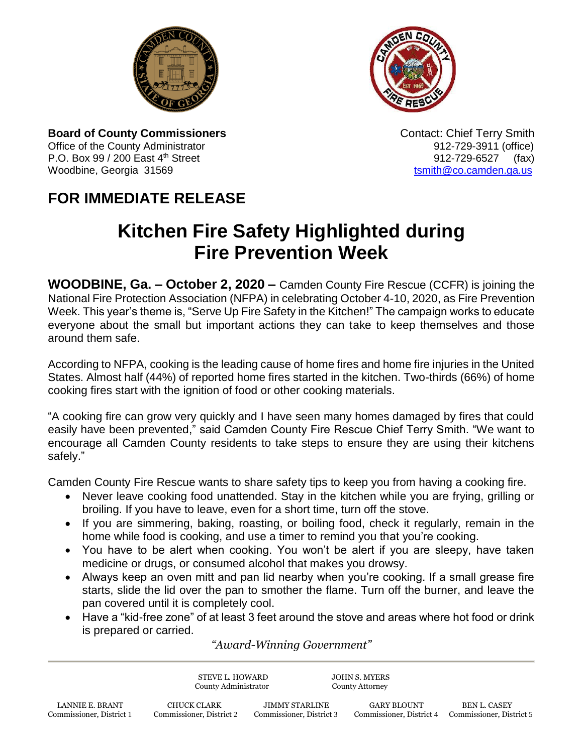



**Board of County Commissioners Contact: Chief Terry Smith Contact: Chief Terry Smith** Office of the County Administrator **912-729-3911** (office) P.O. Box 99 / 200 East 4<sup>th</sup> Street 912-729-6527 (fax) Woodbine, Georgia 31569 to the control of the control of the control of the control of the control of the control of the control of the control of the control of the control of the control of the control of the control of

## **FOR IMMEDIATE RELEASE**

## **Kitchen Fire Safety Highlighted during Fire Prevention Week**

**WOODBINE, Ga. – October 2, 2020 –** Camden County Fire Rescue (CCFR) is joining the National Fire Protection Association (NFPA) in celebrating October 4-10, 2020, as Fire Prevention Week. This year's theme is, "Serve Up Fire Safety in the Kitchen!" The campaign works to educate everyone about the small but important actions they can take to keep themselves and those around them safe.

According to NFPA, cooking is the leading cause of home fires and home fire injuries in the United States. Almost half (44%) of reported home fires started in the kitchen. Two-thirds (66%) of home cooking fires start with the ignition of food or other cooking materials.

"A cooking fire can grow very quickly and I have seen many homes damaged by fires that could easily have been prevented," said Camden County Fire Rescue Chief Terry Smith. "We want to encourage all Camden County residents to take steps to ensure they are using their kitchens safely."

Camden County Fire Rescue wants to share safety tips to keep you from having a cooking fire.

- Never leave cooking food unattended. Stay in the kitchen while you are frying, grilling or broiling. If you have to leave, even for a short time, turn off the stove.
- If you are simmering, baking, roasting, or boiling food, check it regularly, remain in the home while food is cooking, and use a timer to remind you that you're cooking.
- You have to be alert when cooking. You won't be alert if you are sleepy, have taken medicine or drugs, or consumed alcohol that makes you drowsy.
- Always keep an oven mitt and pan lid nearby when you're cooking. If a small grease fire starts, slide the lid over the pan to smother the flame. Turn off the burner, and leave the pan covered until it is completely cool.
- Have a "kid-free zone" of at least 3 feet around the stove and areas where hot food or drink is prepared or carried.

## *"Award-Winning Government"*

STEVE L. HOWARD JOHN S. MYERS County Administrator County Attorney LANNIE E. BRANT CHUCK CLARK JIMMY STARLINE GARY BLOUNT BEN L. CASEY<br>2 Commissioner, District 1 Commissioner, District 2 Commissioner, District 3 Commissioner, District 4 Commissioner, Dist Commissioner, District 1 Commissioner, District 2 Commissioner, District 3 Commissioner, District 4 Commissioner, District 5